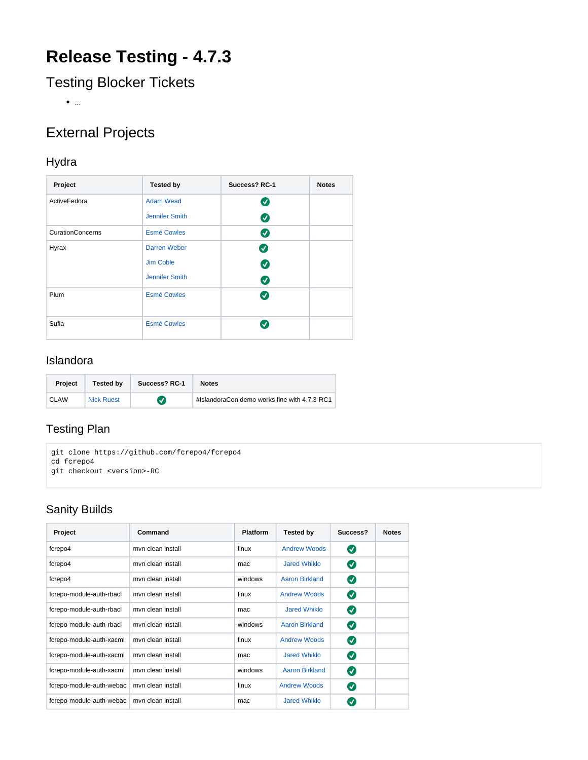# **Release Testing - 4.7.3**

Testing Blocker Tickets

 $\bullet$  ...

## External Projects

#### Hydra

| Project                 | <b>Tested by</b>    | Success? RC-1         | <b>Notes</b> |
|-------------------------|---------------------|-----------------------|--------------|
| ActiveFedora            | <b>Adam Wead</b>    | $\boldsymbol{\sigma}$ |              |
|                         | Jennifer Smith      | $\boldsymbol{\omega}$ |              |
| <b>CurationConcerns</b> | <b>Esmé Cowles</b>  | Ø                     |              |
| Hyrax                   | <b>Darren Weber</b> | Ø                     |              |
|                         | Jim Coble           | $\boldsymbol{\sigma}$ |              |
|                         | Jennifer Smith      | $\bullet$             |              |
| Plum                    | <b>Esmé Cowles</b>  | $\bullet$             |              |
| Sufia                   | <b>Esmé Cowles</b>  | $\bm{v}$              |              |

#### Islandora

| <b>Project</b> | <b>Tested by</b>  | Success? RC-1    | <b>Notes</b>                                 |
|----------------|-------------------|------------------|----------------------------------------------|
| CLAW           | <b>Nick Ruest</b> | $\boldsymbol{v}$ | #IslandoraCon demo works fine with 4.7.3-RC1 |

## Testing Plan

```
git clone https://github.com/fcrepo4/fcrepo4
cd fcrepo4
git checkout <version>-RC
```
## Sanity Builds

| Project                  | Command           | <b>Platform</b> | <b>Tested by</b>      | Success?     | <b>Notes</b> |
|--------------------------|-------------------|-----------------|-----------------------|--------------|--------------|
| fcrepo4                  | myn clean install | linux           | <b>Andrew Woods</b>   | Ø            |              |
| fcrepo4                  | myn clean install | mac             | Jared Whiklo          | Ø            |              |
| fcrepo4                  | myn clean install | windows         | <b>Aaron Birkland</b> | Ø            |              |
| fcrepo-module-auth-rbacl | myn clean install | linux           | <b>Andrew Woods</b>   | Ø            |              |
| fcrepo-module-auth-rbacl | myn clean install | mac             | Jared Whiklo          | Ø            |              |
| fcrepo-module-auth-rbacl | myn clean install | windows         | Aaron Birkland        | Ø            |              |
| fcrepo-module-auth-xacml | myn clean install | linux           | <b>Andrew Woods</b>   | Ø            |              |
| fcrepo-module-auth-xacml | myn clean install | mac             | <b>Jared Whiklo</b>   | Ø            |              |
| fcrepo-module-auth-xacml | myn clean install | windows         | <b>Aaron Birkland</b> | Ø            |              |
| fcrepo-module-auth-webac | myn clean install | linux           | <b>Andrew Woods</b>   | Ø            |              |
| fcrepo-module-auth-webac | myn clean install | mac             | <b>Jared Whiklo</b>   | $\checkmark$ |              |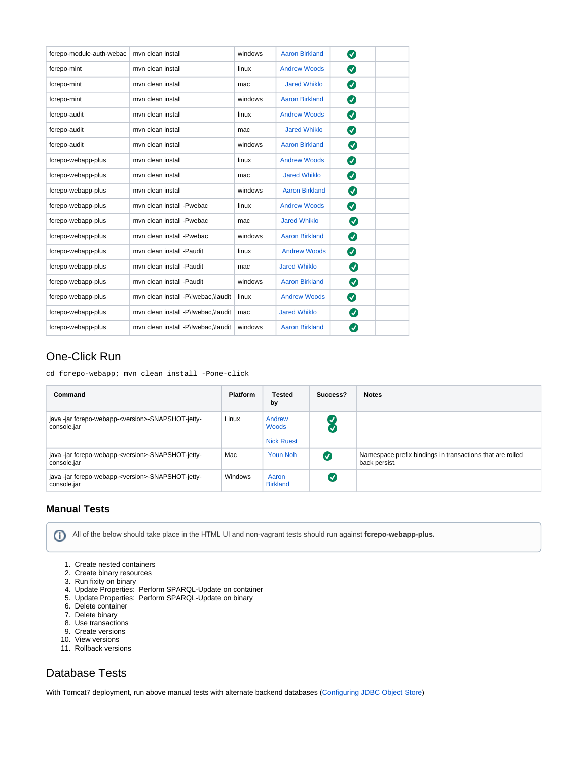| fcrepo-module-auth-webac | myn clean install                   | windows | <b>Aaron Birkland</b> | Ø                     |  |
|--------------------------|-------------------------------------|---------|-----------------------|-----------------------|--|
| fcrepo-mint              | myn clean install                   | linux   | <b>Andrew Woods</b>   | Ø                     |  |
| fcrepo-mint              | myn clean install                   | mac     | <b>Jared Whiklo</b>   | Ø                     |  |
| fcrepo-mint              | myn clean install                   | windows | <b>Aaron Birkland</b> | Ø                     |  |
| fcrepo-audit             | myn clean install                   | linux   | <b>Andrew Woods</b>   | Ø                     |  |
| fcrepo-audit             | myn clean install                   | mac     | <b>Jared Whiklo</b>   | Ø                     |  |
| fcrepo-audit             | myn clean install                   | windows | <b>Aaron Birkland</b> | ◙                     |  |
| fcrepo-webapp-plus       | myn clean install                   | linux   | <b>Andrew Woods</b>   | Ø                     |  |
| fcrepo-webapp-plus       | myn clean install                   | mac     | <b>Jared Whiklo</b>   | $\boldsymbol{\omega}$ |  |
| fcrepo-webapp-plus       | myn clean install                   | windows | <b>Aaron Birkland</b> | Ø                     |  |
| fcrepo-webapp-plus       | myn clean install -Pwebac           | linux   | <b>Andrew Woods</b>   | $\bullet$             |  |
| fcrepo-webapp-plus       | myn clean install -Pwebac           | mac     | <b>Jared Whiklo</b>   | Ø                     |  |
| fcrepo-webapp-plus       | myn clean install -Pwebac           | windows | <b>Aaron Birkland</b> | ◙                     |  |
| fcrepo-webapp-plus       | myn clean install -Paudit           | linux   | <b>Andrew Woods</b>   | Ø                     |  |
| fcrepo-webapp-plus       | myn clean install -Paudit           | mac     | <b>Jared Whiklo</b>   | Ø                     |  |
| fcrepo-webapp-plus       | myn clean install -Paudit           | windows | <b>Aaron Birkland</b> | Ø                     |  |
| fcrepo-webapp-plus       | mvn clean install -P\!webac,\!audit | linux   | <b>Andrew Woods</b>   | Ø                     |  |
| fcrepo-webapp-plus       | mvn clean install -P\!webac,\!audit | mac     | <b>Jared Whiklo</b>   | Ø                     |  |
| fcrepo-webapp-plus       | mvn clean install -P\!webac,\!audit | windows | <b>Aaron Birkland</b> | $\bm{v}$              |  |

#### One-Click Run

cd fcrepo-webapp; mvn clean install -Pone-click

| Command                                                                      | <b>Platform</b> | <b>Tested</b><br>by                  | Success?  | <b>Notes</b>                                                               |
|------------------------------------------------------------------------------|-----------------|--------------------------------------|-----------|----------------------------------------------------------------------------|
| java -jar fcrepo-webapp- <version>-SNAPSHOT-jetty-<br/>console.jar</version> | Linux           | Andrew<br>Woods<br><b>Nick Ruest</b> |           |                                                                            |
| java -jar fcrepo-webapp- <version>-SNAPSHOT-jetty-<br/>console.jar</version> | Mac             | Youn Noh                             | $\bullet$ | Namespace prefix bindings in transactions that are rolled<br>back persist. |
| java -jar fcrepo-webapp- <version>-SNAPSHOT-jetty-<br/>console.jar</version> | Windows         | Aaron<br><b>Birkland</b>             | ι√        |                                                                            |

#### **Manual Tests**

All of the below should take place in the HTML UI and non-vagrant tests should run against **fcrepo-webapp-plus.**

- 1. Create nested containers
- 2. Create binary resources
- 3. Run fixity on binary
- 4. Update Properties: Perform SPARQL-Update on container
- 5. Update Properties: Perform SPARQL-Update on binary
- 6. Delete container
- 7. Delete binary
- 8. Use transactions
- 9. Create versions
- 10. View versions
- 11. Rollback versions

## Database Tests

With Tomcat7 deployment, run above manual tests with alternate backend databases ([Configuring JDBC Object Store](https://wiki.lyrasis.org/display/FEDORA4x/Configuring+JDBC+Object+Store))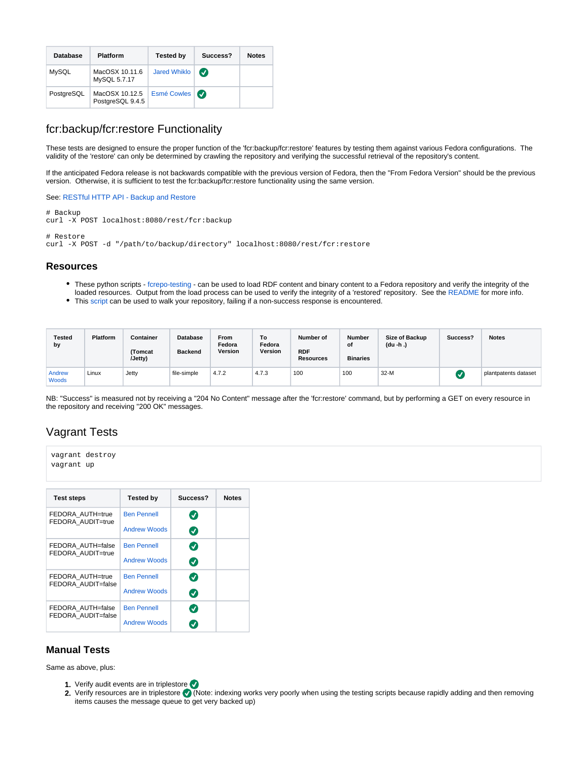| <b>Database</b> | <b>Platform</b>                    | <b>Tested by</b>    | Success?              | <b>Notes</b> |
|-----------------|------------------------------------|---------------------|-----------------------|--------------|
| <b>MySQL</b>    | MacOSX 10.11.6<br>MySQL 5.7.17     | <b>Jared Whiklo</b> | $\boldsymbol{\sigma}$ |              |
| PostgreSQL      | MacOSX 10.12.5<br>PostgreSQL 9.4.5 | Esmé Cowles         |                       |              |

#### fcr:backup/fcr:restore Functionality

These tests are designed to ensure the proper function of the 'fcr:backup/fcr:restore' features by testing them against various Fedora configurations. The validity of the 'restore' can only be determined by crawling the repository and verifying the successful retrieval of the repository's content.

If the anticipated Fedora release is not backwards compatible with the previous version of Fedora, then the "From Fedora Version" should be the previous version. Otherwise, it is sufficient to test the fcr:backup/fcr:restore functionality using the same version.

See: [RESTful HTTP API - Backup and Restore](https://wiki.duraspace.org/display/FEDORA4x/RESTful+HTTP+API+-+Backup+and+Restore)

# Backup curl -X POST localhost:8080/rest/fcr:backup # Restore

curl -X POST -d "/path/to/backup/directory" localhost:8080/rest/fcr:restore

#### **Resources**

- These python scripts [fcrepo-testing](https://github.com/aic-collections/fcrepo-testing) can be used to load RDF content and binary content to a Fedora repository and verify the integrity of the loaded resources. Output from the load process can be used to verify the integrity of a 'restored' repository. See the [README](https://github.com/aic-collections/fcrepo-testing) for more info.
- This [script](https://github.com/awoods/fcrepo-java-client-etc) can be used to walk your repository, failing if a non-success response is encountered.

| <b>Tested</b><br>by    | <b>Platform</b> | Container<br>(Tomcat<br>(Jetty) | <b>Database</b><br><b>Backend</b> | <b>From</b><br>Fedora<br>Version | To<br>Fedora<br>Version | Number of<br><b>RDF</b><br><b>Resources</b> | <b>Number</b><br>of<br><b>Binaries</b> | Size of Backup<br>(du -h .) | Success? | <b>Notes</b>         |
|------------------------|-----------------|---------------------------------|-----------------------------------|----------------------------------|-------------------------|---------------------------------------------|----------------------------------------|-----------------------------|----------|----------------------|
| Andrew<br><b>Woods</b> | Linux           | Jetty                           | file-simple                       | 4.7.2                            | 4.7.3                   | 100                                         | 100                                    | $32-M$                      |          | plantpatents dataset |

NB: "Success" is measured not by receiving a "204 No Content" message after the 'fcr:restore' command, but by performing a GET on every resource in the repository and receiving "200 OK" messages.

#### Vagrant Tests

```
vagrant destroy
vagrant up
```

| <b>Test steps</b>                       | <b>Tested by</b>    | Success?                   | <b>Notes</b> |
|-----------------------------------------|---------------------|----------------------------|--------------|
| FEDORA AUTH=true<br>FEDORA AUDIT=true   | <b>Ben Pennell</b>  | $\bm{J}$                   |              |
|                                         | <b>Andrew Woods</b> | $\boldsymbol{\mathcal{S}}$ |              |
| FEDORA AUTH=false<br>FEDORA AUDIT=true  | <b>Ben Pennell</b>  | Ø                          |              |
|                                         | <b>Andrew Woods</b> | $\bm{J}$                   |              |
| FEDORA AUTH=true<br>FEDORA AUDIT=false  | <b>Ben Pennell</b>  | $\boldsymbol{J}$           |              |
|                                         | <b>Andrew Woods</b> | $\bm{\mathcal{S}}$         |              |
| FEDORA AUTH=false<br>FEDORA AUDIT=false | <b>Ben Pennell</b>  | $\blacktriangledown$       |              |
|                                         | <b>Andrew Woods</b> |                            |              |

#### **Manual Tests**

Same as above, plus:

- 1. Verify audit events are in triplestore
- 2. Verify resources are in triplestore  $\vee$  (Note: indexing works very poorly when using the testing scripts because rapidly adding and then removing items causes the message queue to get very backed up)